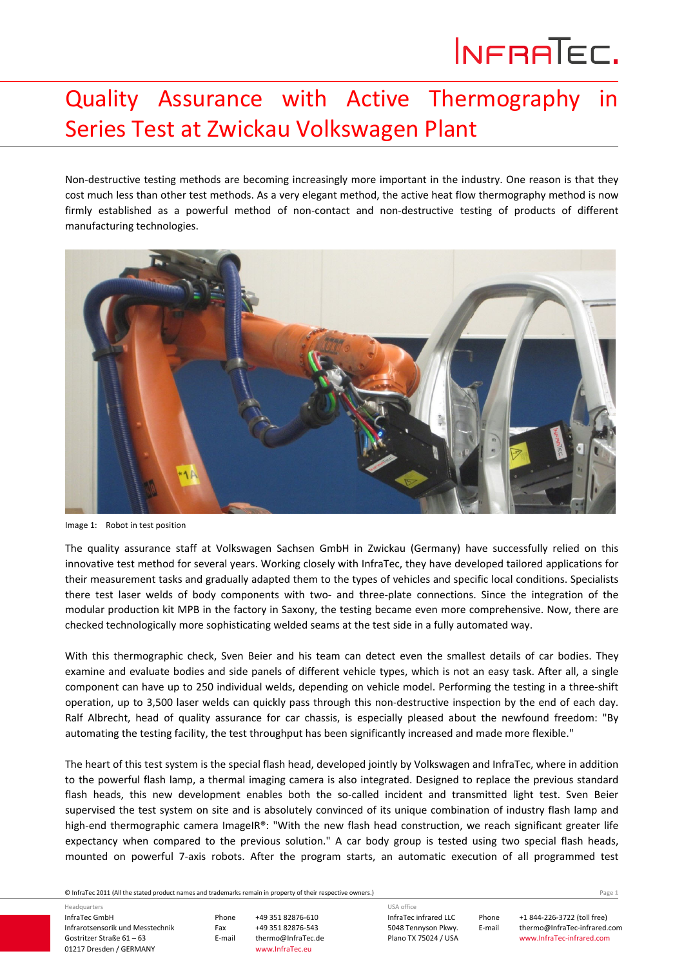## INFRATEC.

## Quality Assurance with Active Thermography in Series Test at Zwickau Volkswagen Plant

Non-destructive testing methods are becoming increasingly more important in the industry. One reason is that they cost much less than other test methods. As a very elegant method, the active heat flow thermography method is now firmly established as a powerful method of non-contact and non-destructive testing of products of different manufacturing technologies.



Image 1: Robot in test position

The quality assurance staff at Volkswagen Sachsen GmbH in Zwickau (Germany) have successfully relied on this innovative test method for several years. Working closely with InfraTec, they have developed tailored applications for their measurement tasks and gradually adapted them to the types of vehicles and specific local conditions. Specialists there test laser welds of body components with two‐ and three‐plate connections. Since the integration of the modular production kit MPB in the factory in Saxony, the testing became even more comprehensive. Now, there are checked technologically more sophisticating welded seams at the test side in a fully automated way.

With this thermographic check, Sven Beier and his team can detect even the smallest details of car bodies. They examine and evaluate bodies and side panels of different vehicle types, which is not an easy task. After all, a single component can have up to 250 individual welds, depending on vehicle model. Performing the testing in a three‐shift operation, up to 3,500 laser welds can quickly pass through this non‐destructive inspection by the end of each day. Ralf Albrecht, head of quality assurance for car chassis, is especially pleased about the newfound freedom: "By automating the testing facility, the test throughput has been significantly increased and made more flexible."

The heart of this test system is the special flash head, developed jointly by Volkswagen and InfraTec, where in addition to the powerful flash lamp, a thermal imaging camera is also integrated. Designed to replace the previous standard flash heads, this new development enables both the so-called incident and transmitted light test. Sven Beier supervised the test system on site and is absolutely convinced of its unique combination of industry flash lamp and high-end thermographic camera ImageIR®: "With the new flash head construction, we reach significant greater life expectancy when compared to the previous solution." A car body group is tested using two special flash heads, mounted on powerful 7‐axis robots. After the program starts, an automatic execution of all programmed test

© InfraTec 2011 (All the stated product names and trademarks remain in property of their respective owners.) Page **1**

InfraTec GmbH Infrarotsensorik und Messtechnik Gostritzer Straße 61 – 63 01217 Dresden / GERMANY Headquarters

Phone +49 351 82876‐610 Fax +49 351 82876-543<br>E-mail thermo@InfraTec.d thermo@InfraTec.de www.InfraTec.eu

InfraTec infrared LLC 5048 Tennyson Pkwy. Plano TX 75024 / USA

USA office

Phone +1 844‐226‐3722 (toll free) E-mail thermo@InfraTec-infrared.com www.InfraTec‐infrared.com